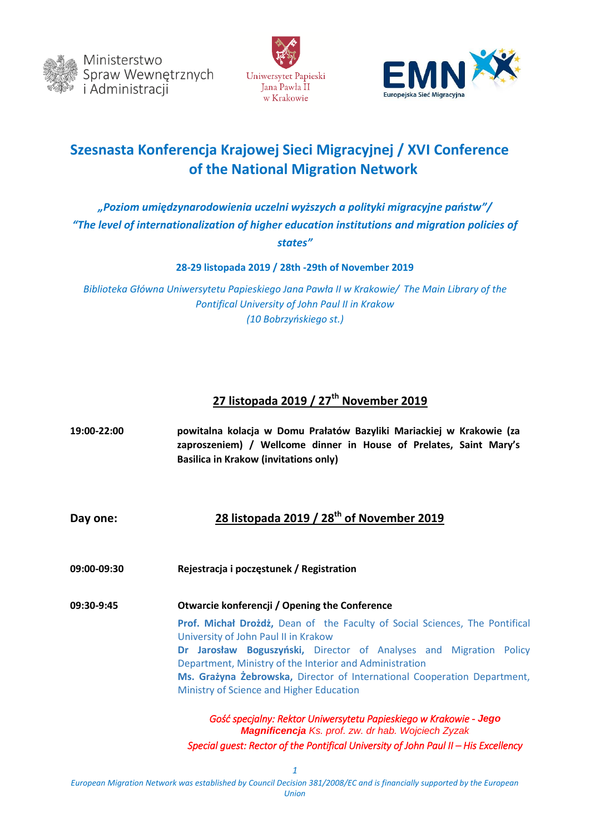





# **Szesnasta Konferencja Krajowej Sieci Migracyjnej / XVI Conference of the National Migration Network**

#### *"Poziom umiędzynarodowienia uczelni wyższych a polityki migracyjne państw"/ "The level of internationalization of higher education institutions and migration policies of states"*

**28-29 listopada 2019 / 28th -29th of November 2019** 

*Biblioteka Główna Uniwersytetu Papieskiego Jana Pawła II w Krakowie/ The Main Library of the Pontifical University of John Paul II in Krakow (10 Bobrzyńskiego st.)*

## **27 listopada 2019 / 27th November 2019**

| 19:00-22:00 | powitalna kolacja w Domu Prałatów Bazyliki Mariackiej w Krakowie (za<br>zaproszeniem) / Wellcome dinner in House of Prelates, Saint Mary's<br><b>Basilica in Krakow (invitations only)</b> |
|-------------|--------------------------------------------------------------------------------------------------------------------------------------------------------------------------------------------|
| Day one:    | 28 listopada 2019 / 28 <sup>th</sup> of November 2019                                                                                                                                      |
| 09:00-09:30 | Rejestracja i poczęstunek / Registration                                                                                                                                                   |
| 09:30-9:45  | Otwarcie konferencji / Opening the Conference                                                                                                                                              |
|             | Prof. Michał Drożdż, Dean of the Faculty of Social Sciences, The Pontifical<br>University of John Paul II in Krakow                                                                        |
|             | Dr Jarosław Boguszyński, Director of Analyses and Migration Policy<br>Department, Ministry of the Interior and Administration                                                              |
|             | Ms. Grażyna Żebrowska, Director of International Cooperation Department,                                                                                                                   |
|             | Ministry of Science and Higher Education                                                                                                                                                   |
|             | Gość specjalny: Rektor Uniwersytetu Papieskiego w Krakowie - Jego<br>Magnificencja Ks. prof. zw. dr hab. Wojciech Zyzak                                                                    |
|             | Special guest: Rector of the Pontifical University of John Paul II - His Excellency                                                                                                        |

*European Migration Network was established by Council Decision 381/2008/EC and is financially supported by the European Union*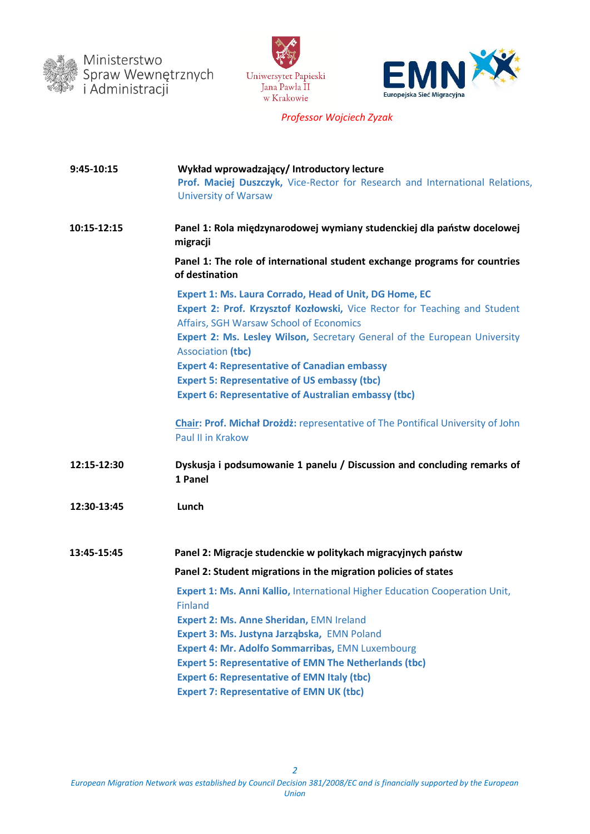





 *Professor Wojciech Zyzak*

| 9:45-10:15  | Wykład wprowadzający/ Introductory lecture<br>Prof. Maciej Duszczyk, Vice-Rector for Research and International Relations,<br><b>University of Warsaw</b>                                                                                                                                      |
|-------------|------------------------------------------------------------------------------------------------------------------------------------------------------------------------------------------------------------------------------------------------------------------------------------------------|
| 10:15-12:15 | Panel 1: Rola międzynarodowej wymiany studenckiej dla państw docelowej<br>migracji                                                                                                                                                                                                             |
|             | Panel 1: The role of international student exchange programs for countries<br>of destination                                                                                                                                                                                                   |
|             | <b>Expert 1: Ms. Laura Corrado, Head of Unit, DG Home, EC</b><br>Expert 2: Prof. Krzysztof Kozłowski, Vice Rector for Teaching and Student<br>Affairs, SGH Warsaw School of Economics<br>Expert 2: Ms. Lesley Wilson, Secretary General of the European University<br><b>Association (tbc)</b> |
|             | <b>Expert 4: Representative of Canadian embassy</b><br><b>Expert 5: Representative of US embassy (tbc)</b>                                                                                                                                                                                     |
|             | <b>Expert 6: Representative of Australian embassy (tbc)</b>                                                                                                                                                                                                                                    |
|             | <b>Chair: Prof. Michał Drożdż:</b> representative of The Pontifical University of John<br>Paul II in Krakow                                                                                                                                                                                    |
| 12:15-12:30 | Dyskusja i podsumowanie 1 panelu / Discussion and concluding remarks of<br>1 Panel                                                                                                                                                                                                             |
| 12:30-13:45 | Lunch                                                                                                                                                                                                                                                                                          |
| 13:45-15:45 | Panel 2: Migracje studenckie w politykach migracyjnych państw                                                                                                                                                                                                                                  |
|             | Panel 2: Student migrations in the migration policies of states                                                                                                                                                                                                                                |
|             | Expert 1: Ms. Anni Kallio, International Higher Education Cooperation Unit,<br><b>Finland</b>                                                                                                                                                                                                  |
|             | <b>Expert 2: Ms. Anne Sheridan, EMN Ireland</b>                                                                                                                                                                                                                                                |
|             | Expert 3: Ms. Justyna Jarząbska, EMN Poland<br><b>Expert 4: Mr. Adolfo Sommarribas, EMN Luxembourg</b>                                                                                                                                                                                         |
|             | <b>Expert 5: Representative of EMN The Netherlands (tbc)</b>                                                                                                                                                                                                                                   |
|             | <b>Expert 6: Representative of EMN Italy (tbc)</b>                                                                                                                                                                                                                                             |
|             | <b>Expert 7: Representative of EMN UK (tbc)</b>                                                                                                                                                                                                                                                |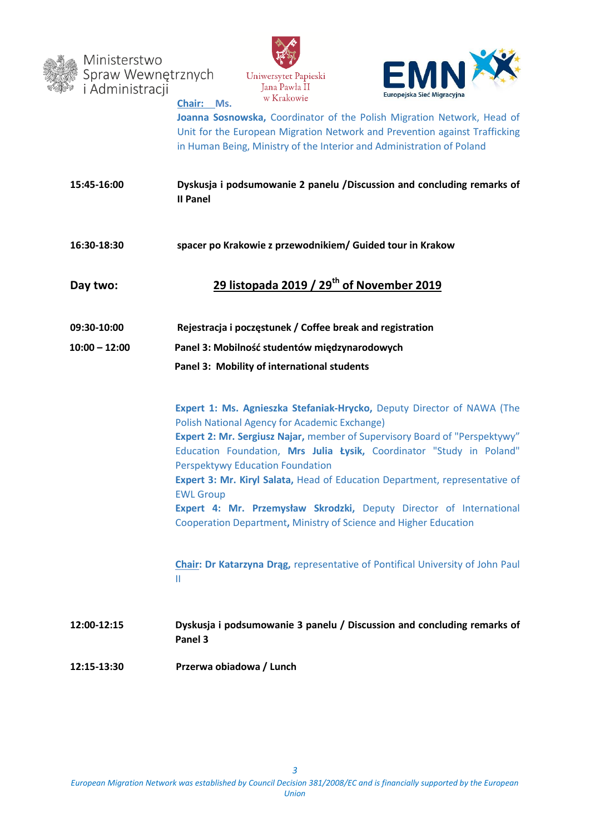

Ministerstwo Spraw Wewnętrznych<br>i Administracji **Chair: Ms.** 





**Joanna Sosnowska,** Coordinator of the Polish Migration Network, Head of Unit for the European Migration Network and Prevention against Trafficking in Human Being, Ministry of the Interior and Administration of Poland

| 15:45-16:00     | Dyskusja i podsumowanie 2 panelu /Discussion and concluding remarks of<br><b>II Panel</b>                                                                                                                                                                                                                                                                                                                                                                                                                                                                              |
|-----------------|------------------------------------------------------------------------------------------------------------------------------------------------------------------------------------------------------------------------------------------------------------------------------------------------------------------------------------------------------------------------------------------------------------------------------------------------------------------------------------------------------------------------------------------------------------------------|
| 16:30-18:30     | spacer po Krakowie z przewodnikiem/ Guided tour in Krakow                                                                                                                                                                                                                                                                                                                                                                                                                                                                                                              |
| Day two:        | 29 listopada 2019 / 29 <sup>th</sup> of November 2019                                                                                                                                                                                                                                                                                                                                                                                                                                                                                                                  |
| 09:30-10:00     | Rejestracja i poczęstunek / Coffee break and registration                                                                                                                                                                                                                                                                                                                                                                                                                                                                                                              |
| $10:00 - 12:00$ | Panel 3: Mobilność studentów międzynarodowych                                                                                                                                                                                                                                                                                                                                                                                                                                                                                                                          |
|                 | Panel 3: Mobility of international students                                                                                                                                                                                                                                                                                                                                                                                                                                                                                                                            |
|                 | Expert 1: Ms. Agnieszka Stefaniak-Hrycko, Deputy Director of NAWA (The<br><b>Polish National Agency for Academic Exchange)</b><br>Expert 2: Mr. Sergiusz Najar, member of Supervisory Board of "Perspektywy"<br>Education Foundation, Mrs Julia Łysik, Coordinator "Study in Poland"<br>Perspektywy Education Foundation<br>Expert 3: Mr. Kiryl Salata, Head of Education Department, representative of<br><b>EWL Group</b><br>Expert 4: Mr. Przemysław Skrodzki, Deputy Director of International<br>Cooperation Department, Ministry of Science and Higher Education |
|                 | Chair: Dr Katarzyna Drąg, representative of Pontifical University of John Paul<br>Ш                                                                                                                                                                                                                                                                                                                                                                                                                                                                                    |
| 12:00-12:15     | Dyskusja i podsumowanie 3 panelu / Discussion and concluding remarks of<br>Panel 3                                                                                                                                                                                                                                                                                                                                                                                                                                                                                     |
| 12:15-13:30     | Przerwa obiadowa / Lunch                                                                                                                                                                                                                                                                                                                                                                                                                                                                                                                                               |